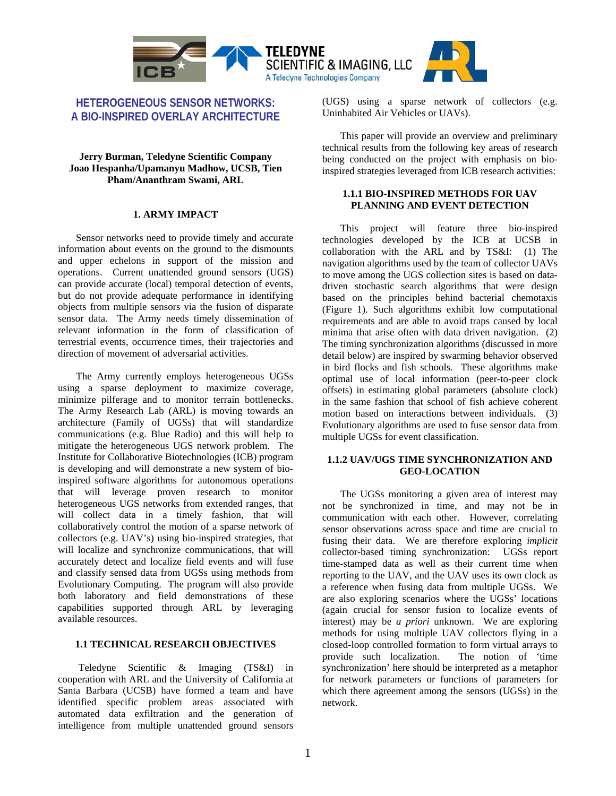

# **HETEROGENEOUS SENSOR NETWORKS: A BIO-INSPIRED OVERLAY ARCHITECTURE**

### **Jerry Burman, Teledyne Scientific Company Joao Hespanha/Upamanyu Madhow, UCSB, Tien Pham/Ananthram Swami, ARL**

### **1. ARMY IMPACT**

Sensor networks need to provide timely and accurate information about events on the ground to the dismounts and upper echelons in support of the mission and operations. Current unattended ground sensors (UGS) can provide accurate (local) temporal detection of events, but do not provide adequate performance in identifying objects from multiple sensors via the fusion of disparate sensor data. The Army needs timely dissemination of relevant information in the form of classification of terrestrial events, occurrence times, their trajectories and direction of movement of adversarial activities.

The Army currently employs heterogeneous UGSs using a sparse deployment to maximize coverage, minimize pilferage and to monitor terrain bottlenecks. The Army Research Lab (ARL) is moving towards an architecture (Family of UGSs) that will standardize communications (e.g. Blue Radio) and this will help to mitigate the heterogeneous UGS network problem. The Institute for Collaborative Biotechnologies (ICB) program is developing and will demonstrate a new system of bioinspired software algorithms for autonomous operations that will leverage proven research to monitor heterogeneous UGS networks from extended ranges, that will collect data in a timely fashion, that will collaboratively control the motion of a sparse network of collectors (e.g. UAV's) using bio-inspired strategies, that will localize and synchronize communications, that will accurately detect and localize field events and will fuse and classify sensed data from UGSs using methods from Evolutionary Computing. The program will also provide both laboratory and field demonstrations of these capabilities supported through ARL by leveraging available resources.

### **1.1 TECHNICAL RESEARCH OBJECTIVES**

 Teledyne Scientific & Imaging (TS&I) in cooperation with ARL and the University of California at Santa Barbara (UCSB) have formed a team and have identified specific problem areas associated with automated data exfiltration and the generation of intelligence from multiple unattended ground sensors

(UGS) using a sparse network of collectors (e.g. Uninhabited Air Vehicles or UAVs).

This paper will provide an overview and preliminary technical results from the following key areas of research being conducted on the project with emphasis on bioinspired strategies leveraged from ICB research activities:

### **1.1.1 BIO-INSPIRED METHODS FOR UAV PLANNING AND EVENT DETECTION**

This project will feature three bio-inspired technologies developed by the ICB at UCSB in collaboration with the ARL and by TS&I: (1) The navigation algorithms used by the team of collector UAVs to move among the UGS collection sites is based on datadriven stochastic search algorithms that were design based on the principles behind bacterial chemotaxis (Figure 1). Such algorithms exhibit low computational requirements and are able to avoid traps caused by local minima that arise often with data driven navigation. (2) The timing synchronization algorithms (discussed in more detail below) are inspired by swarming behavior observed in bird flocks and fish schools. These algorithms make optimal use of local information (peer-to-peer clock offsets) in estimating global parameters (absolute clock) in the same fashion that school of fish achieve coherent motion based on interactions between individuals. (3) Evolutionary algorithms are used to fuse sensor data from multiple UGSs for event classification.

## **1.1.2 UAV/UGS TIME SYNCHRONIZATION AND GEO-LOCATION**

The UGSs monitoring a given area of interest may not be synchronized in time, and may not be in communication with each other. However, correlating sensor observations across space and time are crucial to fusing their data. We are therefore exploring *implicit* collector-based timing synchronization: UGSs report time-stamped data as well as their current time when reporting to the UAV, and the UAV uses its own clock as a reference when fusing data from multiple UGSs. We are also exploring scenarios where the UGSs' locations (again crucial for sensor fusion to localize events of interest) may be *a priori* unknown. We are exploring methods for using multiple UAV collectors flying in a closed-loop controlled formation to form virtual arrays to provide such localization. The notion of 'time synchronization' here should be interpreted as a metaphor for network parameters or functions of parameters for which there agreement among the sensors (UGSs) in the network.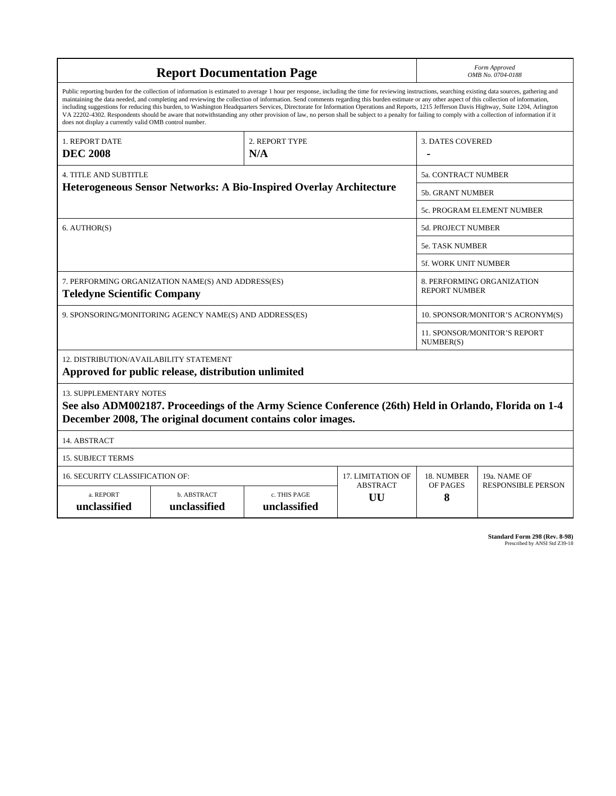| <b>Report Documentation Page</b>                                                                                                                                                                                                                                                                                                                                                                                                                                                                                                                                                                                                                                                                                                                                                                                                                                   |                             |                              |                       | Form Approved<br>OMB No. 0704-0188                 |                           |
|--------------------------------------------------------------------------------------------------------------------------------------------------------------------------------------------------------------------------------------------------------------------------------------------------------------------------------------------------------------------------------------------------------------------------------------------------------------------------------------------------------------------------------------------------------------------------------------------------------------------------------------------------------------------------------------------------------------------------------------------------------------------------------------------------------------------------------------------------------------------|-----------------------------|------------------------------|-----------------------|----------------------------------------------------|---------------------------|
| Public reporting burden for the collection of information is estimated to average 1 hour per response, including the time for reviewing instructions, searching existing data sources, gathering and<br>maintaining the data needed, and completing and reviewing the collection of information. Send comments regarding this burden estimate or any other aspect of this collection of information,<br>including suggestions for reducing this burden, to Washington Headquarters Services, Directorate for Information Operations and Reports, 1215 Jefferson Davis Highway, Suite 1204, Arlington<br>VA 22202-4302. Respondents should be aware that notwithstanding any other provision of law, no person shall be subject to a penalty for failing to comply with a collection of information if it<br>does not display a currently valid OMB control number. |                             |                              |                       |                                                    |                           |
| 1. REPORT DATE<br><b>DEC 2008</b>                                                                                                                                                                                                                                                                                                                                                                                                                                                                                                                                                                                                                                                                                                                                                                                                                                  | 2. REPORT TYPE<br>N/A       |                              |                       | <b>3. DATES COVERED</b>                            |                           |
| 4. TITLE AND SUBTITLE                                                                                                                                                                                                                                                                                                                                                                                                                                                                                                                                                                                                                                                                                                                                                                                                                                              |                             |                              |                       | 5a. CONTRACT NUMBER                                |                           |
| Heterogeneous Sensor Networks: A Bio-Inspired Overlay Architecture                                                                                                                                                                                                                                                                                                                                                                                                                                                                                                                                                                                                                                                                                                                                                                                                 |                             |                              |                       | <b>5b. GRANT NUMBER</b>                            |                           |
|                                                                                                                                                                                                                                                                                                                                                                                                                                                                                                                                                                                                                                                                                                                                                                                                                                                                    |                             |                              |                       | <b>5c. PROGRAM ELEMENT NUMBER</b>                  |                           |
| 6. AUTHOR(S)                                                                                                                                                                                                                                                                                                                                                                                                                                                                                                                                                                                                                                                                                                                                                                                                                                                       |                             |                              |                       | <b>5d. PROJECT NUMBER</b>                          |                           |
|                                                                                                                                                                                                                                                                                                                                                                                                                                                                                                                                                                                                                                                                                                                                                                                                                                                                    |                             |                              |                       | <b>5e. TASK NUMBER</b>                             |                           |
|                                                                                                                                                                                                                                                                                                                                                                                                                                                                                                                                                                                                                                                                                                                                                                                                                                                                    |                             |                              |                       | <b>5f. WORK UNIT NUMBER</b>                        |                           |
| 7. PERFORMING ORGANIZATION NAME(S) AND ADDRESS(ES)<br><b>Teledyne Scientific Company</b>                                                                                                                                                                                                                                                                                                                                                                                                                                                                                                                                                                                                                                                                                                                                                                           |                             |                              |                       | 8. PERFORMING ORGANIZATION<br><b>REPORT NUMBER</b> |                           |
| 9. SPONSORING/MONITORING AGENCY NAME(S) AND ADDRESS(ES)                                                                                                                                                                                                                                                                                                                                                                                                                                                                                                                                                                                                                                                                                                                                                                                                            |                             |                              |                       | 10. SPONSOR/MONITOR'S ACRONYM(S)                   |                           |
|                                                                                                                                                                                                                                                                                                                                                                                                                                                                                                                                                                                                                                                                                                                                                                                                                                                                    |                             |                              |                       | 11. SPONSOR/MONITOR'S REPORT<br>NUMBER(S)          |                           |
| 12. DISTRIBUTION/AVAILABILITY STATEMENT<br>Approved for public release, distribution unlimited                                                                                                                                                                                                                                                                                                                                                                                                                                                                                                                                                                                                                                                                                                                                                                     |                             |                              |                       |                                                    |                           |
| <b>13. SUPPLEMENTARY NOTES</b><br>See also ADM002187. Proceedings of the Army Science Conference (26th) Held in Orlando, Florida on 1-4<br>December 2008, The original document contains color images.                                                                                                                                                                                                                                                                                                                                                                                                                                                                                                                                                                                                                                                             |                             |                              |                       |                                                    |                           |
| 14. ABSTRACT                                                                                                                                                                                                                                                                                                                                                                                                                                                                                                                                                                                                                                                                                                                                                                                                                                                       |                             |                              |                       |                                                    |                           |
| <b>15. SUBJECT TERMS</b>                                                                                                                                                                                                                                                                                                                                                                                                                                                                                                                                                                                                                                                                                                                                                                                                                                           |                             |                              |                       |                                                    |                           |
| <b>16. SECURITY CLASSIFICATION OF:</b>                                                                                                                                                                                                                                                                                                                                                                                                                                                                                                                                                                                                                                                                                                                                                                                                                             | <b>17. LIMITATION OF</b>    | 18. NUMBER                   | 19a. NAME OF          |                                                    |                           |
| a. REPORT<br>unclassified                                                                                                                                                                                                                                                                                                                                                                                                                                                                                                                                                                                                                                                                                                                                                                                                                                          | b. ABSTRACT<br>unclassified | c. THIS PAGE<br>unclassified | <b>ABSTRACT</b><br>UU | OF PAGES<br>8                                      | <b>RESPONSIBLE PERSON</b> |

**Standard Form 298 (Rev. 8-98)**<br>Prescribed by ANSI Std Z39-18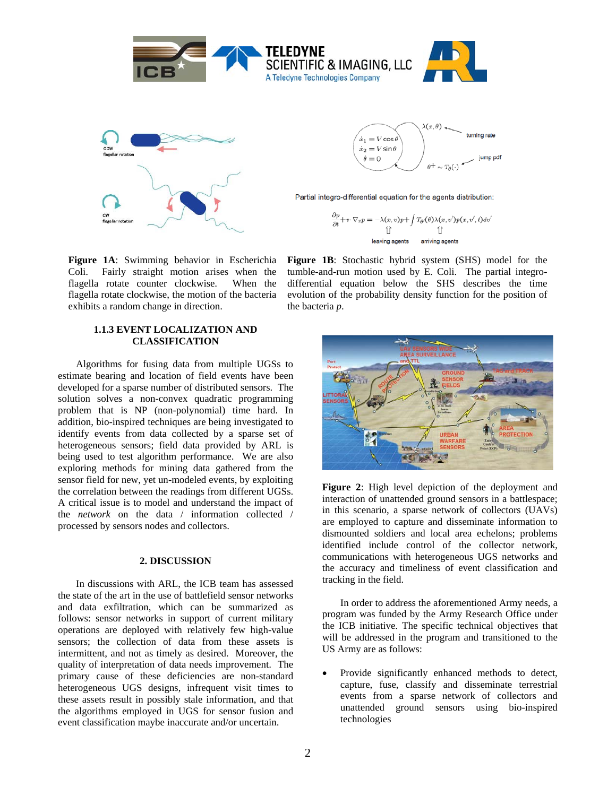

**Figure 1A**: Swimming behavior in Escherichia Coli. Fairly straight motion arises when the flagella rotate counter clockwise. When the flagella rotate clockwise, the motion of the bacteria exhibits a random change in direction.

## **1.1.3 EVENT LOCALIZATION AND CLASSIFICATION**

Algorithms for fusing data from multiple UGSs to estimate bearing and location of field events have been developed for a sparse number of distributed sensors. The solution solves a non-convex quadratic programming problem that is NP (non-polynomial) time hard. In addition, bio-inspired techniques are being investigated to identify events from data collected by a sparse set of heterogeneous sensors; field data provided by ARL is being used to test algorithm performance. We are also exploring methods for mining data gathered from the sensor field for new, yet un-modeled events, by exploiting the correlation between the readings from different UGSs. A critical issue is to model and understand the impact of the *network* on the data / information collected / processed by sensors nodes and collectors.

### **2. DISCUSSION**

In discussions with ARL, the ICB team has assessed the state of the art in the use of battlefield sensor networks and data exfiltration, which can be summarized as follows: sensor networks in support of current military operations are deployed with relatively few high-value sensors; the collection of data from these assets is intermittent, and not as timely as desired. Moreover, the quality of interpretation of data needs improvement. The primary cause of these deficiencies are non-standard heterogeneous UGS designs, infrequent visit times to these assets result in possibly stale information, and that the algorithms employed in UGS for sensor fusion and event classification maybe inaccurate and/or uncertain.



**Figure 1B**: Stochastic hybrid system (SHS) model for the tumble-and-run motion used by E. Coli. The partial integrodifferential equation below the SHS describes the time evolution of the probability density function for the position of the bacteria *p*.



**Figure 2**: High level depiction of the deployment and interaction of unattended ground sensors in a battlespace; in this scenario, a sparse network of collectors (UAVs) are employed to capture and disseminate information to dismounted soldiers and local area echelons; problems identified include control of the collector network, communications with heterogeneous UGS networks and the accuracy and timeliness of event classification and tracking in the field.

In order to address the aforementioned Army needs, a program was funded by the Army Research Office under the ICB initiative. The specific technical objectives that will be addressed in the program and transitioned to the US Army are as follows:

• Provide significantly enhanced methods to detect, capture, fuse, classify and disseminate terrestrial events from a sparse network of collectors and unattended ground sensors using bio-inspired technologies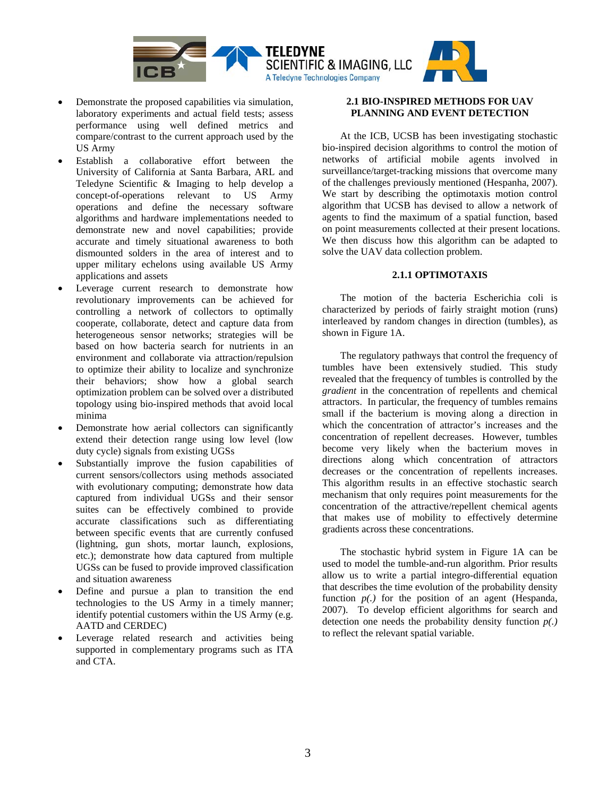

- Demonstrate the proposed capabilities via simulation, laboratory experiments and actual field tests; assess performance using well defined metrics and compare/contrast to the current approach used by the US Army
- Establish a collaborative effort between the University of California at Santa Barbara, ARL and Teledyne Scientific & Imaging to help develop a concept-of-operations relevant to US Army operations and define the necessary software algorithms and hardware implementations needed to demonstrate new and novel capabilities; provide accurate and timely situational awareness to both dismounted solders in the area of interest and to upper military echelons using available US Army applications and assets
- Leverage current research to demonstrate how revolutionary improvements can be achieved for controlling a network of collectors to optimally cooperate, collaborate, detect and capture data from heterogeneous sensor networks; strategies will be based on how bacteria search for nutrients in an environment and collaborate via attraction/repulsion to optimize their ability to localize and synchronize their behaviors; show how a global search optimization problem can be solved over a distributed topology using bio-inspired methods that avoid local minima
- Demonstrate how aerial collectors can significantly extend their detection range using low level (low duty cycle) signals from existing UGSs
- Substantially improve the fusion capabilities of current sensors/collectors using methods associated with evolutionary computing; demonstrate how data captured from individual UGSs and their sensor suites can be effectively combined to provide accurate classifications such as differentiating between specific events that are currently confused (lightning, gun shots, mortar launch, explosions, etc.); demonstrate how data captured from multiple UGSs can be fused to provide improved classification and situation awareness
- Define and pursue a plan to transition the end technologies to the US Army in a timely manner; identify potential customers within the US Army (e.g. AATD and CERDEC)
- Leverage related research and activities being supported in complementary programs such as ITA and CTA.

## **2.1 BIO-INSPIRED METHODS FOR UAV PLANNING AND EVENT DETECTION**

At the ICB, UCSB has been investigating stochastic bio-inspired decision algorithms to control the motion of networks of artificial mobile agents involved in surveillance/target-tracking missions that overcome many of the challenges previously mentioned (Hespanha, 2007). We start by describing the optimotaxis motion control algorithm that UCSB has devised to allow a network of agents to find the maximum of a spatial function, based on point measurements collected at their present locations. We then discuss how this algorithm can be adapted to solve the UAV data collection problem.

## **2.1.1 OPTIMOTAXIS**

The motion of the bacteria Escherichia coli is characterized by periods of fairly straight motion (runs) interleaved by random changes in direction (tumbles), as shown in Figure 1A.

The regulatory pathways that control the frequency of tumbles have been extensively studied. This study revealed that the frequency of tumbles is controlled by the *gradient* in the concentration of repellents and chemical attractors. In particular, the frequency of tumbles remains small if the bacterium is moving along a direction in which the concentration of attractor's increases and the concentration of repellent decreases. However, tumbles become very likely when the bacterium moves in directions along which concentration of attractors decreases or the concentration of repellents increases. This algorithm results in an effective stochastic search mechanism that only requires point measurements for the concentration of the attractive/repellent chemical agents that makes use of mobility to effectively determine gradients across these concentrations.

The stochastic hybrid system in Figure 1A can be used to model the tumble-and-run algorithm. Prior results allow us to write a partial integro-differential equation that describes the time evolution of the probability density function  $p(.)$  for the position of an agent (Hespanda, 2007). To develop efficient algorithms for search and detection one needs the probability density function *p(.)*  to reflect the relevant spatial variable.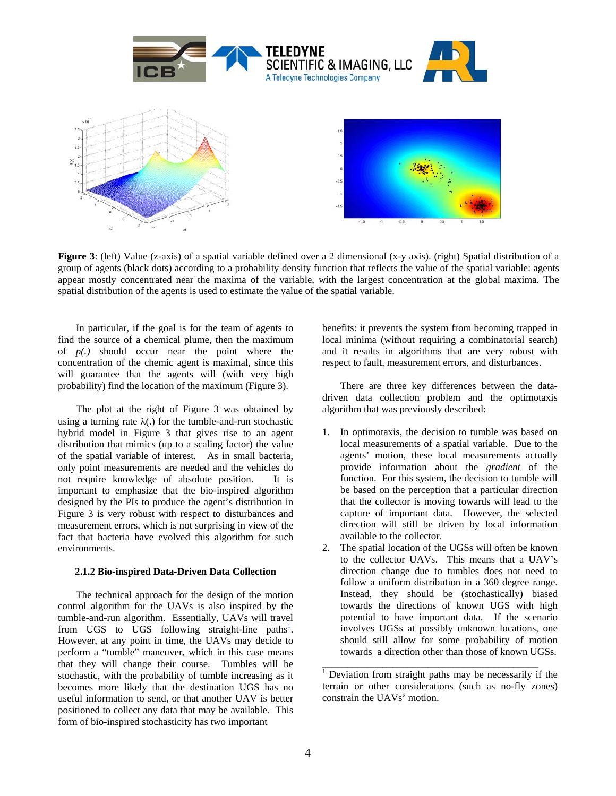

**Figure 3**: (left) Value (z-axis) of a spatial variable defined over a 2 dimensional (x-y axis). (right) Spatial distribution of a group of agents (black dots) according to a probability density function that reflects the value of the spatial variable: agents appear mostly concentrated near the maxima of the variable, with the largest concentration at the global maxima. The spatial distribution of the agents is used to estimate the value of the spatial variable.

In particular, if the goal is for the team of agents to find the source of a chemical plume, then the maximum of *p(.)* should occur near the point where the concentration of the chemic agent is maximal, since this will guarantee that the agents will (with very high probability) find the location of the maximum (Figure 3).

The plot at the right of Figure 3 was obtained by using a turning rate  $\lambda$ . for the tumble-and-run stochastic hybrid model in Figure 3 that gives rise to an agent distribution that mimics (up to a scaling factor) the value of the spatial variable of interest. As in small bacteria, only point measurements are needed and the vehicles do not require knowledge of absolute position. It is important to emphasize that the bio-inspired algorithm designed by the PIs to produce the agent's distribution in Figure 3 is very robust with respect to disturbances and measurement errors, which is not surprising in view of the fact that bacteria have evolved this algorithm for such environments.

#### **2.1.2 Bio-inspired Data-Driven Data Collection**

The technical approach for the design of the motion control algorithm for the UAVs is also inspired by the tumble-and-run algorithm. Essentially, UAVs will travel from UGS to UGS following straight-line paths<sup>1</sup>. However, at any point in time, the UAVs may decide to perform a "tumble" maneuver, which in this case means that they will change their course. Tumbles will be stochastic, with the probability of tumble increasing as it becomes more likely that the destination UGS has no useful information to send, or that another UAV is better positioned to collect any data that may be available. This form of bio-inspired stochasticity has two important

benefits: it prevents the system from becoming trapped in local minima (without requiring a combinatorial search) and it results in algorithms that are very robust with respect to fault, measurement errors, and disturbances.

There are three key differences between the datadriven data collection problem and the optimotaxis algorithm that was previously described:

- 1. In optimotaxis, the decision to tumble was based on local measurements of a spatial variable. Due to the agents' motion, these local measurements actually provide information about the *gradient* of the function. For this system, the decision to tumble will be based on the perception that a particular direction that the collector is moving towards will lead to the capture of important data. However, the selected direction will still be driven by local information available to the collector.
- 2. The spatial location of the UGSs will often be known to the collector UAVs. This means that a UAV's direction change due to tumbles does not need to follow a uniform distribution in a 360 degree range. Instead, they should be (stochastically) biased towards the directions of known UGS with high potential to have important data. If the scenario involves UGSs at possibly unknown locations, one should still allow for some probability of motion towards a direction other than those of known UGSs.

\_\_\_\_\_\_\_\_\_\_\_\_\_\_\_\_\_\_\_\_\_\_\_\_\_\_\_\_\_\_\_\_\_\_\_\_\_\_\_\_\_\_\_

<sup>&</sup>lt;sup>1</sup> Deviation from straight paths may be necessarily if the terrain or other considerations (such as no-fly zones) constrain the UAVs' motion.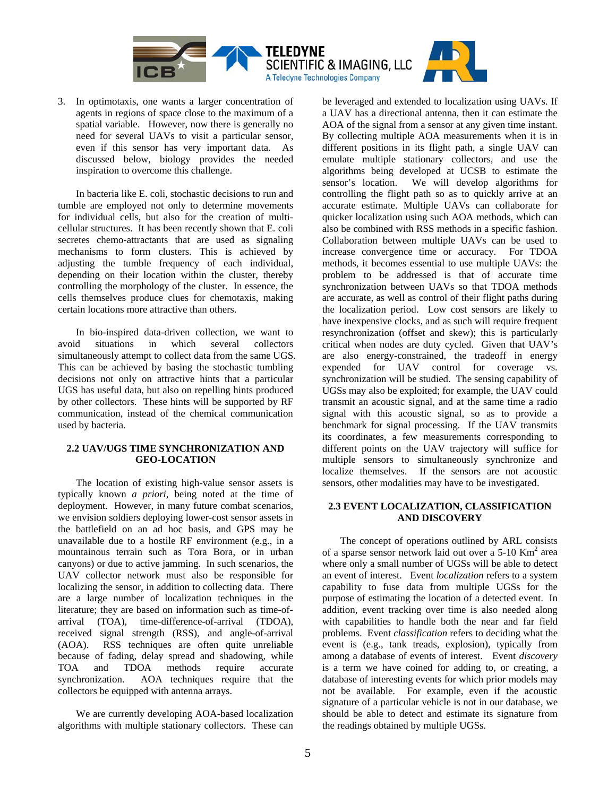

3. In optimotaxis, one wants a larger concentration of agents in regions of space close to the maximum of a spatial variable. However, now there is generally no need for several UAVs to visit a particular sensor, even if this sensor has very important data. As discussed below, biology provides the needed inspiration to overcome this challenge.

In bacteria like E. coli, stochastic decisions to run and tumble are employed not only to determine movements for individual cells, but also for the creation of multicellular structures. It has been recently shown that E. coli secretes chemo-attractants that are used as signaling mechanisms to form clusters. This is achieved by adjusting the tumble frequency of each individual, depending on their location within the cluster, thereby controlling the morphology of the cluster. In essence, the cells themselves produce clues for chemotaxis, making certain locations more attractive than others.

In bio-inspired data-driven collection, we want to avoid situations in which several collectors simultaneously attempt to collect data from the same UGS. This can be achieved by basing the stochastic tumbling decisions not only on attractive hints that a particular UGS has useful data, but also on repelling hints produced by other collectors. These hints will be supported by RF communication, instead of the chemical communication used by bacteria.

## **2.2 UAV/UGS TIME SYNCHRONIZATION AND GEO-LOCATION**

The location of existing high-value sensor assets is typically known *a priori*, being noted at the time of deployment. However, in many future combat scenarios, we envision soldiers deploying lower-cost sensor assets in the battlefield on an ad hoc basis, and GPS may be unavailable due to a hostile RF environment (e.g., in a mountainous terrain such as Tora Bora, or in urban canyons) or due to active jamming. In such scenarios, the UAV collector network must also be responsible for localizing the sensor, in addition to collecting data. There are a large number of localization techniques in the literature; they are based on information such as time-ofarrival (TOA), time-difference-of-arrival (TDOA), received signal strength (RSS), and angle-of-arrival (AOA). RSS techniques are often quite unreliable because of fading, delay spread and shadowing, while TOA and TDOA methods require accurate synchronization. AOA techniques require that the collectors be equipped with antenna arrays.

We are currently developing AOA-based localization algorithms with multiple stationary collectors. These can

be leveraged and extended to localization using UAVs. If a UAV has a directional antenna, then it can estimate the AOA of the signal from a sensor at any given time instant. By collecting multiple AOA measurements when it is in different positions in its flight path, a single UAV can emulate multiple stationary collectors, and use the algorithms being developed at UCSB to estimate the sensor's location. We will develop algorithms for controlling the flight path so as to quickly arrive at an accurate estimate. Multiple UAVs can collaborate for quicker localization using such AOA methods, which can also be combined with RSS methods in a specific fashion. Collaboration between multiple UAVs can be used to increase convergence time or accuracy. For TDOA methods, it becomes essential to use multiple UAVs: the problem to be addressed is that of accurate time synchronization between UAVs so that TDOA methods are accurate, as well as control of their flight paths during the localization period. Low cost sensors are likely to have inexpensive clocks, and as such will require frequent resynchronization (offset and skew); this is particularly critical when nodes are duty cycled. Given that UAV's are also energy-constrained, the tradeoff in energy expended for UAV control for coverage vs. synchronization will be studied. The sensing capability of UGSs may also be exploited; for example, the UAV could transmit an acoustic signal, and at the same time a radio signal with this acoustic signal, so as to provide a benchmark for signal processing. If the UAV transmits its coordinates, a few measurements corresponding to different points on the UAV trajectory will suffice for multiple sensors to simultaneously synchronize and localize themselves. If the sensors are not acoustic sensors, other modalities may have to be investigated.

### **2.3 EVENT LOCALIZATION, CLASSIFICATION AND DISCOVERY**

The concept of operations outlined by ARL consists of a sparse sensor network laid out over a 5-10 Km<sup>2</sup> area where only a small number of UGSs will be able to detect an event of interest. Event *localization* refers to a system capability to fuse data from multiple UGSs for the purpose of estimating the location of a detected event. In addition, event tracking over time is also needed along with capabilities to handle both the near and far field problems. Event *classification* refers to deciding what the event is (e.g., tank treads, explosion), typically from among a database of events of interest. Event *discovery* is a term we have coined for adding to, or creating, a database of interesting events for which prior models may not be available. For example, even if the acoustic signature of a particular vehicle is not in our database, we should be able to detect and estimate its signature from the readings obtained by multiple UGSs.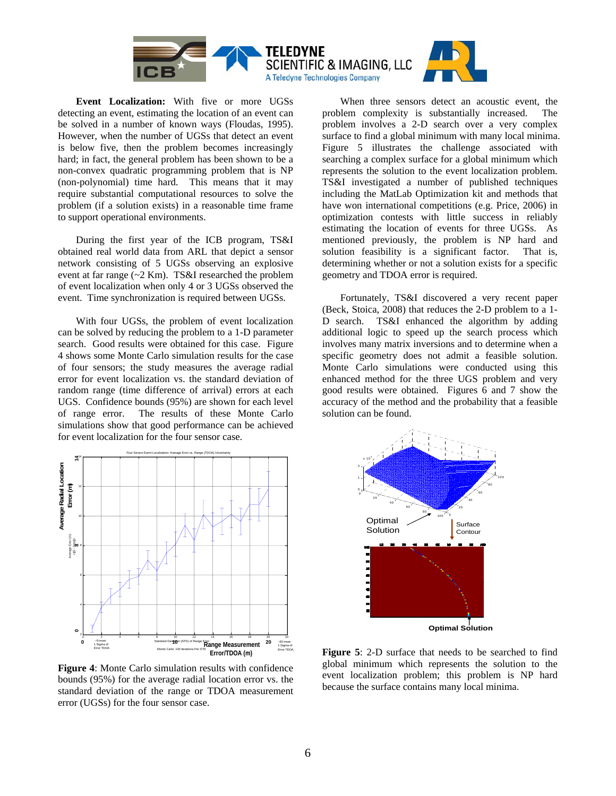

**Event Localization:** With five or more UGSs detecting an event, estimating the location of an event can be solved in a number of known ways (Floudas, 1995). However, when the number of UGSs that detect an event is below five, then the problem becomes increasingly hard; in fact, the general problem has been shown to be a non-convex quadratic programming problem that is NP (non-polynomial) time hard. This means that it may require substantial computational resources to solve the problem (if a solution exists) in a reasonable time frame to support operational environments.

During the first year of the ICB program, TS&I obtained real world data from ARL that depict a sensor network consisting of 5 UGSs observing an explosive event at far range (~2 Km). TS&I researched the problem of event localization when only 4 or 3 UGSs observed the event. Time synchronization is required between UGSs.

With four UGSs, the problem of event localization can be solved by reducing the problem to a 1-D parameter search. Good results were obtained for this case. Figure 4 shows some Monte Carlo simulation results for the case of four sensors; the study measures the average radial error for event localization vs. the standard deviation of random range (time difference of arrival) errors at each UGS. Confidence bounds (95%) are shown for each level of range error. The results of these Monte Carlo simulations show that good performance can be achieved for event localization for the four sensor case.



**Figure 4**: Monte Carlo simulation results with confidence bounds (95%) for the average radial location error vs. the standard deviation of the range or TDOA measurement error (UGSs) for the four sensor case.

When three sensors detect an acoustic event, the problem complexity is substantially increased. The problem involves a 2-D search over a very complex surface to find a global minimum with many local minima. Figure 5 illustrates the challenge associated with searching a complex surface for a global minimum which represents the solution to the event localization problem. TS&I investigated a number of published techniques including the MatLab Optimization kit and methods that have won international competitions (e.g. Price, 2006) in optimization contests with little success in reliably estimating the location of events for three UGSs. As mentioned previously, the problem is NP hard and solution feasibility is a significant factor. That is, determining whether or not a solution exists for a specific geometry and TDOA error is required.

Fortunately, TS&I discovered a very recent paper (Beck, Stoica, 2008) that reduces the 2-D problem to a 1- D search. TS&I enhanced the algorithm by adding additional logic to speed up the search process which involves many matrix inversions and to determine when a specific geometry does not admit a feasible solution. Monte Carlo simulations were conducted using this enhanced method for the three UGS problem and very good results were obtained. Figures 6 and 7 show the accuracy of the method and the probability that a feasible solution can be found.



**Figure 5**: 2-D surface that needs to be searched to find global minimum which represents the solution to the event localization problem; this problem is NP hard because the surface contains many local minima.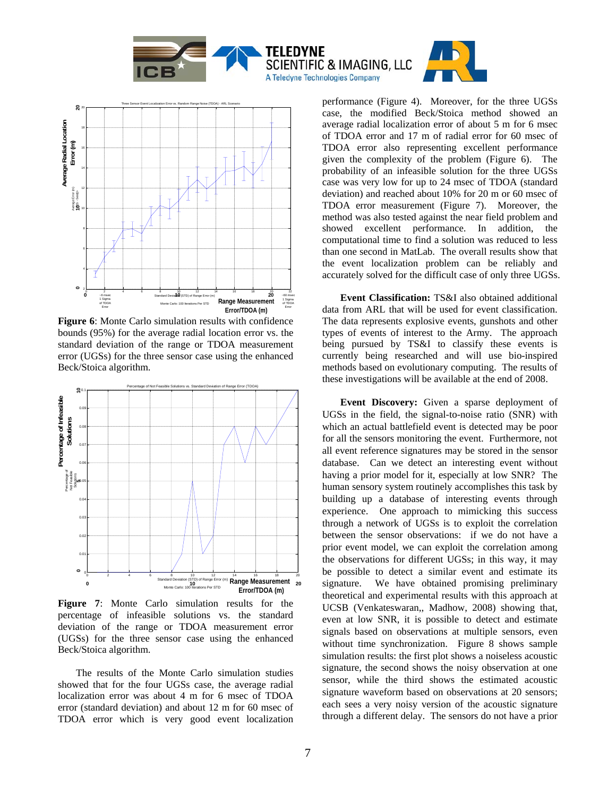



**Figure 6**: Monte Carlo simulation results with confidence bounds (95%) for the average radial location error vs. the standard deviation of the range or TDOA measurement error (UGSs) for the three sensor case using the enhanced Beck/Stoica algorithm.



**Figure 7**: Monte Carlo simulation results for the percentage of infeasible solutions vs. the standard deviation of the range or TDOA measurement error (UGSs) for the three sensor case using the enhanced Beck/Stoica algorithm.

The results of the Monte Carlo simulation studies showed that for the four UGSs case, the average radial localization error was about 4 m for 6 msec of TDOA error (standard deviation) and about 12 m for 60 msec of TDOA error which is very good event localization

performance (Figure 4). Moreover, for the three UGSs case, the modified Beck/Stoica method showed an average radial localization error of about 5 m for 6 msec of TDOA error and 17 m of radial error for 60 msec of TDOA error also representing excellent performance given the complexity of the problem (Figure 6). The probability of an infeasible solution for the three UGSs case was very low for up to 24 msec of TDOA (standard deviation) and reached about 10% for 20 m or 60 msec of TDOA error measurement (Figure 7). Moreover, the method was also tested against the near field problem and showed excellent performance. In addition, the computational time to find a solution was reduced to less than one second in MatLab. The overall results show that the event localization problem can be reliably and accurately solved for the difficult case of only three UGSs.

**Event Classification:** TS&I also obtained additional data from ARL that will be used for event classification. The data represents explosive events, gunshots and other types of events of interest to the Army. The approach being pursued by TS&I to classify these events is currently being researched and will use bio-inspired methods based on evolutionary computing. The results of these investigations will be available at the end of 2008.

**Event Discovery:** Given a sparse deployment of UGSs in the field, the signal-to-noise ratio (SNR) with which an actual battlefield event is detected may be poor for all the sensors monitoring the event. Furthermore, not all event reference signatures may be stored in the sensor database. Can we detect an interesting event without having a prior model for it, especially at low SNR? The human sensory system routinely accomplishes this task by building up a database of interesting events through experience. One approach to mimicking this success through a network of UGSs is to exploit the correlation between the sensor observations: if we do not have a prior event model, we can exploit the correlation among the observations for different UGSs; in this way, it may be possible to detect a similar event and estimate its signature. We have obtained promising preliminary theoretical and experimental results with this approach at UCSB (Venkateswaran,, Madhow, 2008) showing that, even at low SNR, it is possible to detect and estimate signals based on observations at multiple sensors, even without time synchronization. Figure 8 shows sample simulation results: the first plot shows a noiseless acoustic signature, the second shows the noisy observation at one sensor, while the third shows the estimated acoustic signature waveform based on observations at 20 sensors; each sees a very noisy version of the acoustic signature through a different delay. The sensors do not have a prior